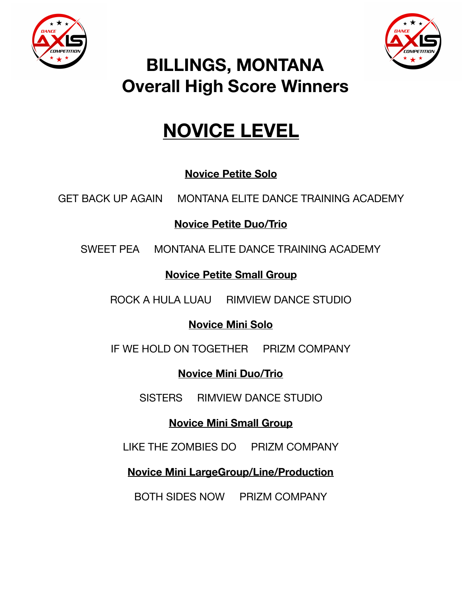



## **BILLINGS, MONTANA Overall High Score Winners**

# **NOVICE LEVEL**

### **Novice Petite Solo**

GET BACK UP AGAIN MONTANA ELITE DANCE TRAINING ACADEMY

**Novice Petite Duo/Trio** 

SWEET PEA MONTANA ELITE DANCE TRAINING ACADEMY

### **Novice Petite Small Group**

ROCK A HULA LUAU RIMVIEW DANCE STUDIO

### **Novice Mini Solo**

IF WE HOLD ON TOGETHER PRIZM COMPANY

**Novice Mini Duo/Trio** 

SISTERS RIMVIEW DANCE STUDIO

### **Novice Mini Small Group**

LIKE THE ZOMBIES DO PRIZM COMPANY

**Novice Mini LargeGroup/Line/Production** 

BOTH SIDES NOW PRIZM COMPANY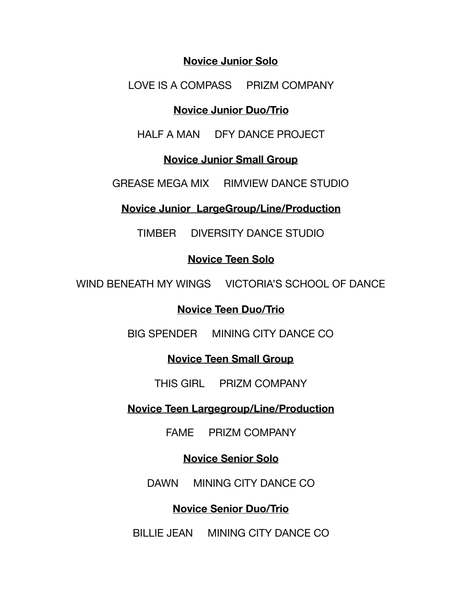#### **Novice Junior Solo**

LOVE IS A COMPASS PRIZM COMPANY

#### **Novice Junior Duo/Trio**

HALF A MAN DFY DANCE PROJECT

#### **Novice Junior Small Group**

GREASE MEGA MIX RIMVIEW DANCE STUDIO

#### **Novice Junior LargeGroup/Line/Production**

TIMBER DIVERSITY DANCE STUDIO

#### **Novice Teen Solo**

WIND BENEATH MY WINGS VICTORIA'S SCHOOL OF DANCE

#### **Novice Teen Duo/Trio**

BIG SPENDER MINING CITY DANCE CO

#### **Novice Teen Small Group**

THIS GIRL PRIZM COMPANY

#### **Novice Teen Largegroup/Line/Production**

FAME PRIZM COMPANY

#### **Novice Senior Solo**

DAWN MINING CITY DANCE CO

#### **Novice Senior Duo/Trio**

BILLIE JEAN MINING CITY DANCE CO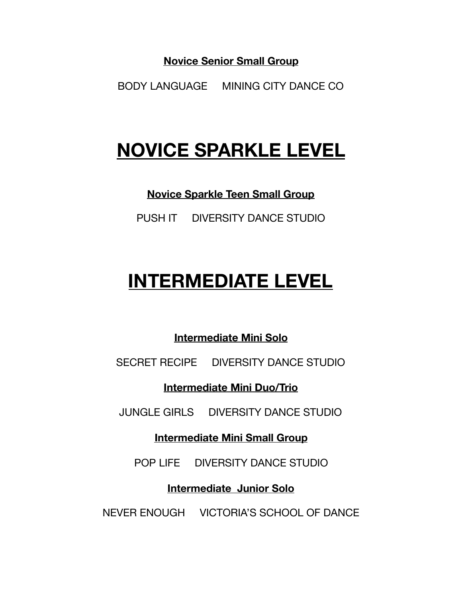**Novice Senior Small Group** 

BODY LANGUAGE MINING CITY DANCE CO

# **NOVICE SPARKLE LEVEL**

**Novice Sparkle Teen Small Group** 

PUSH IT DIVERSITY DANCE STUDIO

# **INTERMEDIATE LEVEL**

**Intermediate Mini Solo** 

SECRET RECIPE DIVERSITY DANCE STUDIO

**Intermediate Mini Duo/Trio** 

JUNGLE GIRLS DIVERSITY DANCE STUDIO

**Intermediate Mini Small Group** 

POP LIFE DIVERSITY DANCE STUDIO

**Intermediate Junior Solo** 

NEVER ENOUGH VICTORIA'S SCHOOL OF DANCE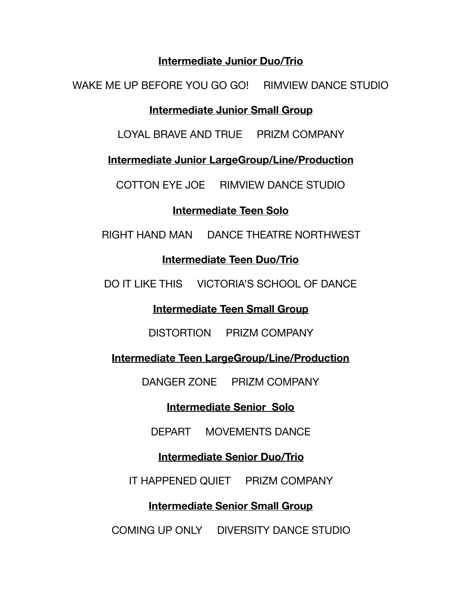#### **Intermediate Junior Duo/Trio**

WAKE ME UP BEFORE YOU GO GO! RIMVIEW DANCE STUDIO

#### **Intermediate Junior Small Group**

LOYAL BRAVE AND TRUE PRIZM COMPANY

**Intermediate Junior LargeGroup/Line/Production** 

COTTON EYE JOE RIMVIEW DANCE STUDIO

#### **Intermediate Teen Solo**

RIGHT HAND MAN DANCE THEATRE NORTHWEST

#### **Intermediate Teen Duo/Trio**

DO IT LIKE THIS VICTORIA'S SCHOOL OF DANCE

#### **Intermediate Teen Small Group**

DISTORTION PRIZM COMPANY

**Intermediate Teen LargeGroup/Line/Production** 

DANGER ZONE PRIZM COMPANY

#### **Intermediate Senior Solo**

DEPART MOVEMENTS DANCE

#### **Intermediate Senior Duo/Trio**

IT HAPPENED QUIET PRIZM COMPANY

#### **Intermediate Senior Small Group**

COMING UP ONLY DIVERSITY DANCE STUDIO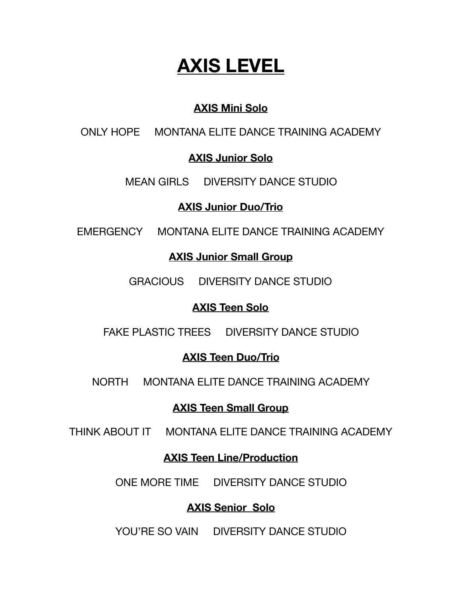# **AXIS LEVEL**

#### **AXIS Mini Solo**

ONLY HOPE MONTANA ELITE DANCE TRAINING ACADEMY

#### **AXIS Junior Solo**

#### MEAN GIRLS DIVERSITY DANCE STUDIO

#### **AXIS Junior Duo/Trio**

EMERGENCY MONTANA ELITE DANCE TRAINING ACADEMY

#### **AXIS Junior Small Group**

GRACIOUS DIVERSITY DANCE STUDIO

#### **AXIS Teen Solo**

FAKE PLASTIC TREES DIVERSITY DANCE STUDIO

#### **AXIS Teen Duo/Trio**

NORTH MONTANA ELITE DANCE TRAINING ACADEMY

#### **AXIS Teen Small Group**

THINK ABOUT IT MONTANA ELITE DANCE TRAINING ACADEMY

#### **AXIS Teen Line/Production**

ONE MORE TIME DIVERSITY DANCE STUDIO

#### **AXIS Senior Solo**

YOU'RE SO VAIN DIVERSITY DANCE STUDIO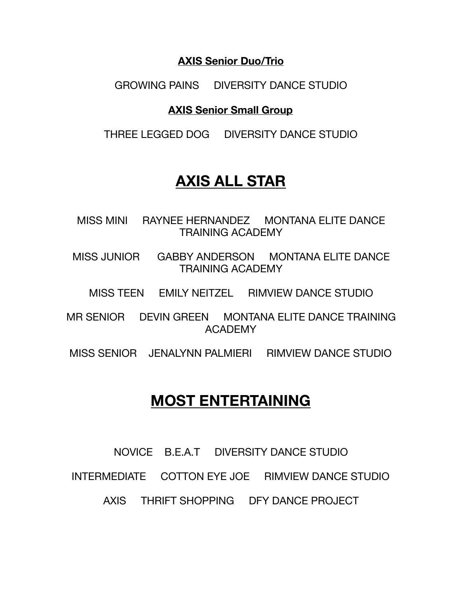#### **AXIS Senior Duo/Trio**

GROWING PAINS DIVERSITY DANCE STUDIO

#### **AXIS Senior Small Group**

THREE LEGGED DOG DIVERSITY DANCE STUDIO

## **AXIS ALL STAR**

MISS MINI RAYNEE HERNANDEZ MONTANA ELITE DANCE TRAINING ACADEMY

MISS JUNIOR GABBY ANDERSON MONTANA ELITE DANCE TRAINING ACADEMY

MISS TEEN EMILY NEITZEL RIMVIEW DANCE STUDIO

MR SENIOR DEVIN GREEN MONTANA ELITE DANCE TRAINING ACADEMY

MISS SENIOR JENALYNN PALMIERI RIMVIEW DANCE STUDIO

### **MOST ENTERTAINING**

NOVICE B.E.A.T DIVERSITY DANCE STUDIO

INTERMEDIATE COTTON EYE JOE RIMVIEW DANCE STUDIO

AXIS THRIFT SHOPPING DFY DANCE PROJECT